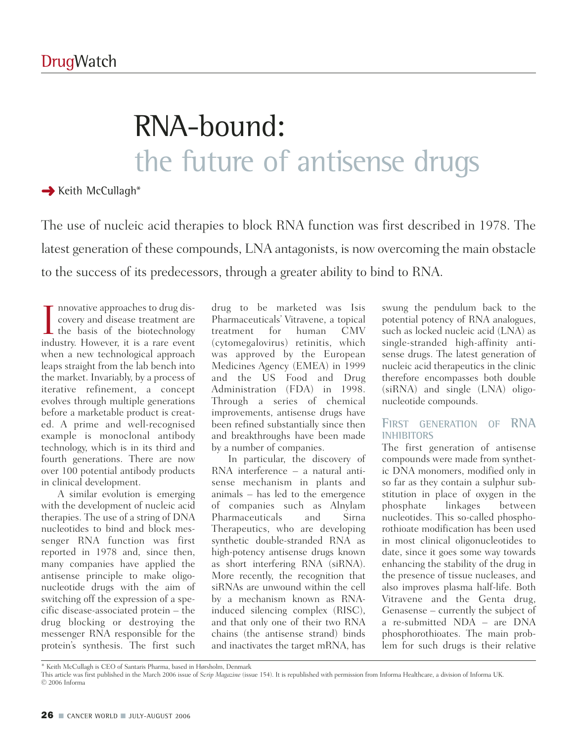# RNA-bound: the future of antisense drugs

**→ Keith McCullagh\*** 

The use of nucleic acid therapies to block RNA function was first described in 1978. The latest generation of these compounds, LNA antagonists, is now overcoming the main obstacle to the success of its predecessors, through a greater ability to bind to RNA.

 $\prod_{\text{ind}}$ nnovative approaches to drug discovery and disease treatment are the basis of the biotechnology industry. However, it is a rare event when a new technological approach leaps straight from the lab bench into the market. Invariably, by a process of iterative refinement, a concept evolves through multiple generations before a marketable product is created. A prime and well-recognised example is monoclonal antibody technology, which is in its third and fourth generations. There are now over 100 potential antibody products in clinical development.

A similar evolution is emerging with the development of nucleic acid therapies. The use of a string of DNA nucleotides to bind and block messenger RNA function was first reported in 1978 and, since then, many companies have applied the antisense principle to make oligonucleotide drugs with the aim of switching off the expression of a specific disease-associated protein – the drug blocking or destroying the messenger RNA responsible for the protein's synthesis. The first such

drug to be marketed was Isis Pharmaceuticals' Vitravene, a topical treatment for human CMV (cytomegalovirus) retinitis, which was approved by the European Medicines Agency (EMEA) in 1999 and the US Food and Drug Administration (FDA) in 1998. Through a series of chemical improvements, antisense drugs have been refined substantially since then and breakthroughs have been made by a number of companies.

In particular, the discovery of RNA interference – a natural antisense mechanism in plants and animals – has led to the emergence of companies such as Alnylam Pharmaceuticals and Sirna Therapeutics, who are developing synthetic double-stranded RNA as high-potency antisense drugs known as short interfering RNA (siRNA). More recently, the recognition that siRNAs are unwound within the cell by a mechanism known as RNAinduced silencing complex (RISC), and that only one of their two RNA chains (the antisense strand) binds and inactivates the target mRNA, has

swung the pendulum back to the potential potency of RNA analogues, such as locked nucleic acid (LNA) as single-stranded high-affinity antisense drugs. The latest generation of nucleic acid therapeutics in the clinic therefore encompasses both double (siRNA) and single (LNA) oligonucleotide compounds.

#### **FIRST GENERATION OF RNA INHIBITORS**

The first generation of antisense compounds were made from synthetic DNA monomers, modified only in so far as they contain a sulphur substitution in place of oxygen in the phosphate linkages between nucleotides. This so-called phosphorothioate modification has been used in most clinical oligonucleotides to date, since it goes some way towards enhancing the stability of the drug in the presence of tissue nucleases, and also improves plasma half-life. Both Vitravene and the Genta drug, Genasense – currently the subject of a re-submitted NDA – are DNA phosphorothioates. The main problem for such drugs is their relative

<sup>\*</sup> Keith McCullagh is CEO of Santaris Pharma, based in Hørsholm, Denmark

This article was first published in the March 2006 issue of *Scrip Magazine* (issue 154). It is republished with permission from Informa Healthcare, a division of Informa UK. © 2006 Informa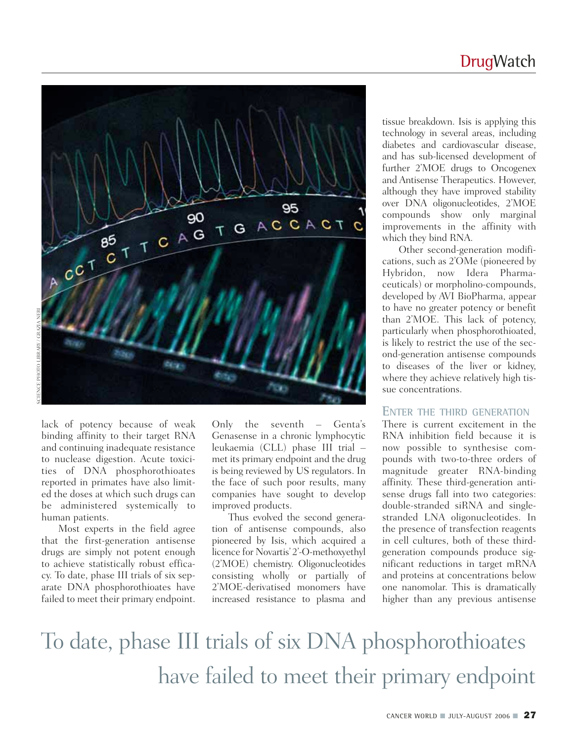### **DrugWatch**



lack of potency because of weak binding affinity to their target RNA and continuing inadequate resistance to nuclease digestion. Acute toxicities of DNA phosphorothioates reported in primates have also limited the doses at which such drugs can be administered systemically to human patients.

Most experts in the field agree that the first-generation antisense drugs are simply not potent enough to achieve statistically robust efficacy. To date, phase III trials of six separate DNA phosphorothioates have failed to meet their primary endpoint.

Only the seventh – Genta's Genasense in a chronic lymphocytic leukaemia (CLL) phase III trial – met its primary endpoint and the drug is being reviewed by US regulators. In the face of such poor results, many companies have sought to develop improved products.

Thus evolved the second generation of antisense compounds, also pioneered by Isis, which acquired a licence for Novartis' 2'-O-methoxyethyl (2'MOE) chemistry. Oligonucleotides consisting wholly or partially of 2'MOE-derivatised monomers have increased resistance to plasma and

tissue breakdown. Isis is applying this technology in several areas, including diabetes and cardiovascular disease, and has sub-licensed development of further 2'MOE drugs to Oncogenex and Antisense Therapeutics. However, although they have improved stability over DNA oligonucleotides, 2'MOE compounds show only marginal improvements in the affinity with which they bind RNA.

Other second-generation modifications, such as 2'OMe (pioneered by Hybridon, now Idera Pharmaceuticals) or morpholino-compounds, developed by AVI BioPharma, appear to have no greater potency or benefit than 2'MOE. This lack of potency, particularly when phosphorothioated, is likely to restrict the use of the second-generation antisense compounds to diseases of the liver or kidney, where they achieve relatively high tissue concentrations.

#### **ENTER THE THIRD GENERATION**

There is current excitement in the RNA inhibition field because it is now possible to synthesise compounds with two-to-three orders of magnitude greater RNA-binding affinity. These third-generation antisense drugs fall into two categories: double-stranded siRNA and singlestranded LNA oligonucleotides. In the presence of transfection reagents in cell cultures, both of these thirdgeneration compounds produce significant reductions in target mRNA and proteins at concentrations below one nanomolar. This is dramatically higher than any previous antisense

### To date, phase III trials of six DNA phosphorothioates have failed to meet their primary endpoint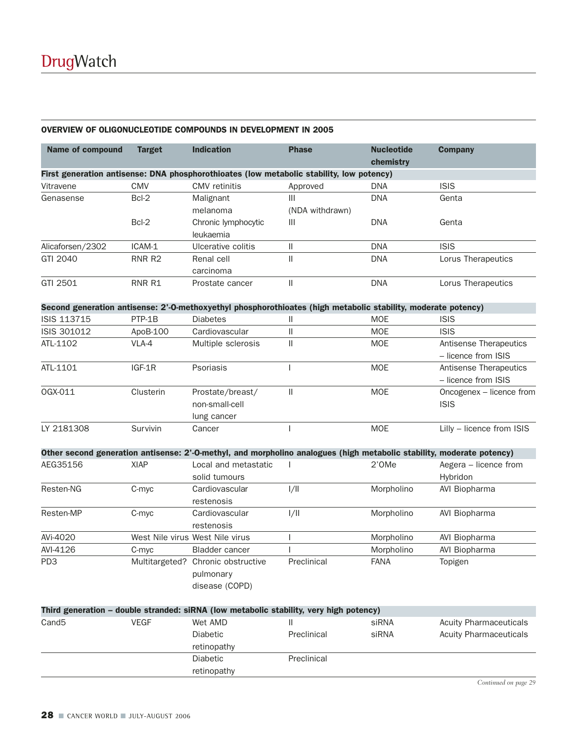|  |  |  | OVERVIEW OF OLIGONUCLEOTIDE COMPOUNDS IN DEVELOPMENT IN 2005 |
|--|--|--|--------------------------------------------------------------|
|--|--|--|--------------------------------------------------------------|

| <b>Name of compound</b> | <b>Target</b> | <b>Indication</b>                                                                                                     | <b>Phase</b>                | <b>Nucleotide</b><br>chemistry | <b>Company</b>                                |
|-------------------------|---------------|-----------------------------------------------------------------------------------------------------------------------|-----------------------------|--------------------------------|-----------------------------------------------|
|                         |               | First generation antisense: DNA phosphorothioates (low metabolic stability, low potency)                              |                             |                                |                                               |
| Vitravene               | <b>CMV</b>    | <b>CMV</b> retinitis                                                                                                  | Approved                    | <b>DNA</b>                     | <b>ISIS</b>                                   |
| Genasense               | Bcl-2         | Malignant                                                                                                             | III                         | <b>DNA</b>                     | Genta                                         |
|                         |               | melanoma                                                                                                              | (NDA withdrawn)             |                                |                                               |
|                         | Bcl-2         | Chronic lymphocytic                                                                                                   | Ш                           | <b>DNA</b>                     | Genta                                         |
|                         |               | leukaemia                                                                                                             |                             |                                |                                               |
| Alicaforsen/2302        | ICAM-1        | Ulcerative colitis                                                                                                    | $\mathop{\textstyle\prod}%$ | <b>DNA</b>                     | <b>ISIS</b>                                   |
| GTI 2040                | RNR R2        | Renal cell                                                                                                            | $\mathop{\textstyle\prod}%$ | <b>DNA</b>                     | Lorus Therapeutics                            |
|                         |               | carcinoma                                                                                                             |                             |                                |                                               |
| GTI 2501                | RNR R1        | Prostate cancer                                                                                                       | $\mathbf{II}$               | <b>DNA</b>                     | Lorus Therapeutics                            |
|                         |               | Second generation antisense: 2'-O-methoxyethyl phosphorothioates (high metabolic stability, moderate potency)         |                             |                                |                                               |
| ISIS 113715             | PTP-1B        | <b>Diabetes</b>                                                                                                       | $\mathsf{II}$               | <b>MOE</b>                     | <b>ISIS</b>                                   |
| ISIS 301012             | ApoB-100      | Cardiovascular                                                                                                        | $\mathsf{II}$               | <b>MOE</b>                     | <b>ISIS</b>                                   |
| ATL-1102                | VLA-4         | Multiple sclerosis                                                                                                    | $\mathsf{II}$               | <b>MOE</b>                     | Antisense Therapeutics<br>- licence from ISIS |
| ATL-1101                | IGF-1R        | Psoriasis                                                                                                             |                             | <b>MOE</b>                     | Antisense Therapeutics<br>- licence from ISIS |
| OGX-011                 | Clusterin     | Prostate/breast/                                                                                                      | $\mathsf{II}$               | <b>MOE</b>                     | Oncogenex - licence from                      |
|                         |               | non-small-cell                                                                                                        |                             |                                | <b>ISIS</b>                                   |
|                         |               | lung cancer                                                                                                           |                             |                                |                                               |
| LY 2181308              | Survivin      | Cancer                                                                                                                |                             | <b>MOE</b>                     | Lilly - licence from ISIS                     |
|                         |               | Other second generation antisense: 2'-O-methyl, and morpholino analogues (high metabolic stability, moderate potency) |                             |                                |                                               |
| AEG35156                | <b>XIAP</b>   | Local and metastatic                                                                                                  |                             | 2'0Me                          | Aegera - licence from                         |
|                         |               | solid tumours                                                                                                         |                             |                                | Hybridon                                      |
| Resten-NG               | C-myc         | Cardiovascular                                                                                                        | 1/11                        | Morpholino                     | AVI Biopharma                                 |
|                         |               | restenosis                                                                                                            |                             |                                |                                               |
| Resten-MP               | C-myc         | Cardiovascular                                                                                                        | 1/11                        | Morpholino                     | AVI Biopharma                                 |
|                         |               | restenosis                                                                                                            |                             |                                |                                               |
| AVi-4020                |               | West Nile virus West Nile virus                                                                                       |                             | Morpholino                     | AVI Biopharma                                 |
| AVI-4126                | C-myc         | <b>Bladder cancer</b>                                                                                                 |                             | Morpholino                     | AVI Biopharma                                 |
| PD <sub>3</sub>         |               | Multitargeted? Chronic obstructive<br>pulmonary<br>disease (COPD)                                                     | Preclinical                 | <b>FANA</b>                    | Topigen                                       |

|       |      |                 | Third generation – double stranded: siRNA (low metabolic stability, very high potency) |       |                               |
|-------|------|-----------------|----------------------------------------------------------------------------------------|-------|-------------------------------|
| Cand5 | VEGF | Wet AMD         |                                                                                        | siRNA | <b>Acuity Pharmaceuticals</b> |
|       |      | <b>Diabetic</b> | Preclinical                                                                            | siRNA | <b>Acuity Pharmaceuticals</b> |
|       |      | retinopathy     |                                                                                        |       |                               |
|       |      | <b>Diabetic</b> | Preclinical                                                                            |       |                               |
|       |      | retinopathy     |                                                                                        |       |                               |

*Continued on page 29*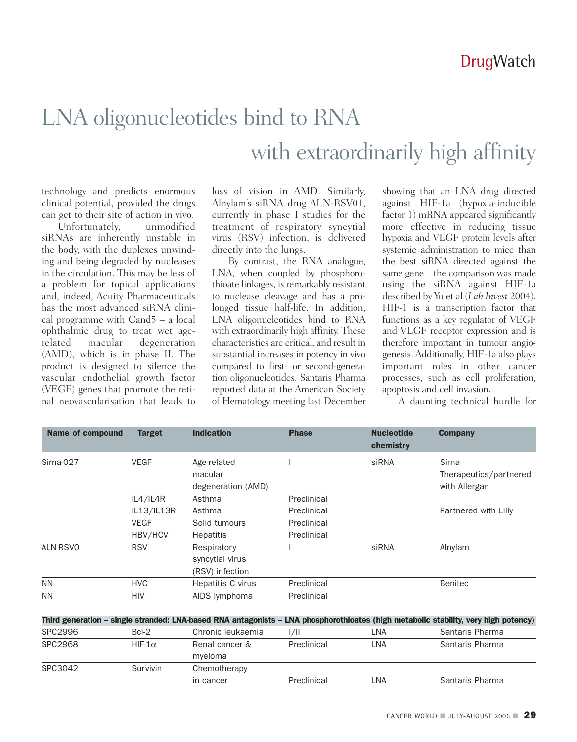## LNA oligonucleotides bind to RNA with extraordinarily high affinity

technology and predicts enormous clinical potential, provided the drugs can get to their site of action in vivo.

Unfortunately, unmodified siRNAs are inherently unstable in the body, with the duplexes unwinding and being degraded by nucleases in the circulation. This may be less of a problem for topical applications and, indeed, Acuity Pharmaceuticals has the most advanced siRNA clinical programme with Cand5 – a local ophthalmic drug to treat wet agerelated macular degeneration (AMD), which is in phase II. The product is designed to silence the vascular endothelial growth factor (VEGF) genes that promote the retinal neovascularisation that leads to

loss of vision in AMD. Similarly, Alnylam's siRNA drug ALN-RSV01, currently in phase I studies for the treatment of respiratory syncytial virus (RSV) infection, is delivered directly into the lungs.

By contrast, the RNA analogue, LNA, when coupled by phosphorothioate linkages, is remarkably resistant to nuclease cleavage and has a prolonged tissue half-life. In addition, LNA oligonucleotides bind to RNA with extraordinarily high affinity. These characteristics are critical, and result in substantial increases in potency in vivo compared to first- or second-generation oligonucleotides. Santaris Pharma reported data at the American Society of Hematology meeting last December

showing that an LNA drug directed against HIF-1a (hypoxia-inducible factor 1) mRNA appeared significantly more effective in reducing tissue hypoxia and VEGF protein levels after systemic administration to mice than the best siRNA directed against the same gene – the comparison was made using the siRNA against HIF-1a described by Yu et al (*Lab Invest* 2004). HIF-1 is a transcription factor that functions as a key regulator of VEGF and VEGF receptor expression and is therefore important in tumour angiogenesis. Additionally, HIF-1a also plays important roles in other cancer processes, such as cell proliferation, apoptosis and cell invasion.

A daunting technical hurdle for

| <b>Name of compound</b> | <b>Target</b>  | <b>Indication</b>                                 | <b>Phase</b> | <b>Nucleotide</b><br>chemistry | <b>Company</b>                                                                                                                      |
|-------------------------|----------------|---------------------------------------------------|--------------|--------------------------------|-------------------------------------------------------------------------------------------------------------------------------------|
| Sirna-027               | <b>VEGF</b>    | Age-related<br>macular<br>degeneration (AMD)      |              | siRNA                          | <b>Sirna</b><br>Therapeutics/partnered<br>with Allergan                                                                             |
|                         | IL4/IL4R       | Asthma                                            | Preclinical  |                                |                                                                                                                                     |
|                         | IL13/IL13R     | Asthma                                            | Preclinical  |                                | Partnered with Lilly                                                                                                                |
|                         | <b>VEGF</b>    | Solid tumours                                     | Preclinical  |                                |                                                                                                                                     |
|                         | HBV/HCV        | <b>Hepatitis</b>                                  | Preclinical  |                                |                                                                                                                                     |
| ALN-RSVO                | <b>RSV</b>     | Respiratory<br>syncytial virus<br>(RSV) infection |              | siRNA                          | Alnylam                                                                                                                             |
| <b>NN</b>               | <b>HVC</b>     | Hepatitis C virus                                 | Preclinical  |                                | <b>Benitec</b>                                                                                                                      |
| <b>NN</b>               | <b>HIV</b>     | AIDS lymphoma                                     | Preclinical  |                                |                                                                                                                                     |
|                         |                |                                                   |              |                                | Third generation - single stranded: LNA-based RNA antagonists - LNA phosphorothioates (high metabolic stability, very high potency) |
| <b>SPC2996</b>          | Bcl-2          | Chronic leukaemia                                 | 1/11         | <b>LNA</b>                     | Santaris Pharma                                                                                                                     |
| <b>SPC2968</b>          | HIF- $1\alpha$ | Renal cancer &<br>myeloma                         | Preclinical  | LNA                            | Santaris Pharma                                                                                                                     |
| SPC3042                 | Survivin       | Chemotherapy                                      |              |                                |                                                                                                                                     |
|                         |                | in cancer                                         | Preclinical  | LNA                            | Santaris Pharma                                                                                                                     |